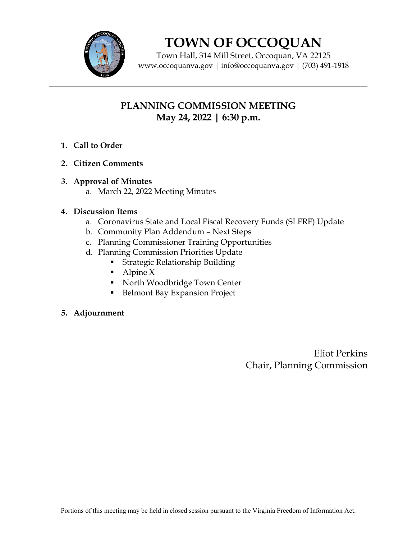

# **TOWN OF OCCOQUAN**

Town Hall, 314 Mill Street, Occoquan, VA 22125 www.occoquanva.gov | info@occoquanva.gov | (703) 491-1918

# **PLANNING COMMISSION MEETING May 24, 2022 | 6:30 p.m.**

- **1. Call to Order**
- **2. Citizen Comments**
- **3. Approval of Minutes**
	- a. March 22, 2022 Meeting Minutes

# **4. Discussion Items**

- a. Coronavirus State and Local Fiscal Recovery Funds (SLFRF) Update
- b. Community Plan Addendum Next Steps
- c. Planning Commissioner Training Opportunities
- d. Planning Commission Priorities Update
	- **Strategic Relationship Building**
	- $\blacksquare$  Alpine X
	- North Woodbridge Town Center
	- Belmont Bay Expansion Project

#### **5. Adjournment**

Eliot Perkins Chair, Planning Commission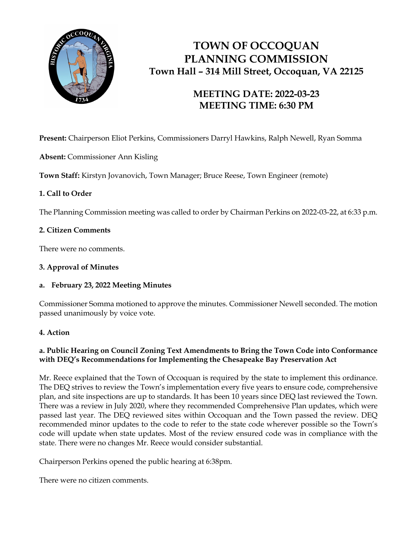

# **TOWN OF OCCOQUAN PLANNING COMMISSION Town Hall – 314 Mill Street, Occoquan, VA 22125**

# **MEETING DATE: 2022-03-23 MEETING TIME: 6:30 PM**

**Present:** Chairperson Eliot Perkins, Commissioners Darryl Hawkins, Ralph Newell, Ryan Somma

**Absent:** Commissioner Ann Kisling

**Town Staff:** Kirstyn Jovanovich, Town Manager; Bruce Reese, Town Engineer (remote)

# **1. Call to Order**

The Planning Commission meeting was called to order by Chairman Perkins on 2022-03-22, at 6:33 p.m.

# **2. Citizen Comments**

There were no comments.

### **3. Approval of Minutes**

#### **a. February 23, 2022 Meeting Minutes**

Commissioner Somma motioned to approve the minutes. Commissioner Newell seconded. The motion passed unanimously by voice vote.

#### **4. Action**

# **a. Public Hearing on Council Zoning Text Amendments to Bring the Town Code into Conformance with DEQ's Recommendations for Implementing the Chesapeake Bay Preservation Act**

Mr. Reece explained that the Town of Occoquan is required by the state to implement this ordinance. The DEQ strives to review the Town's implementation every five years to ensure code, comprehensive plan, and site inspections are up to standards. It has been 10 years since DEQ last reviewed the Town. There was a review in July 2020, where they recommended Comprehensive Plan updates, which were passed last year. The DEQ reviewed sites within Occoquan and the Town passed the review. DEQ recommended minor updates to the code to refer to the state code wherever possible so the Town's code will update when state updates. Most of the review ensured code was in compliance with the state. There were no changes Mr. Reece would consider substantial.

Chairperson Perkins opened the public hearing at 6:38pm.

There were no citizen comments.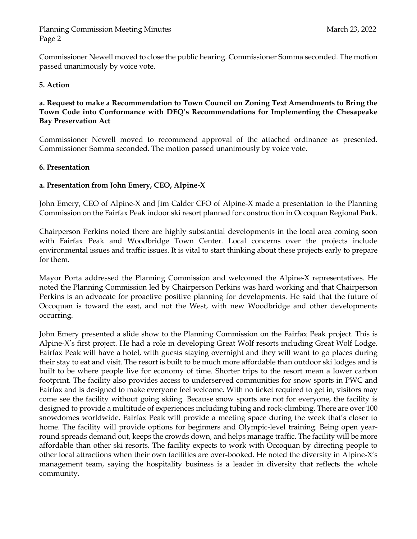Commissioner Newell moved to close the public hearing. Commissioner Somma seconded. The motion passed unanimously by voice vote.

#### **5. Action**

#### **a. Request to make a Recommendation to Town Council on Zoning Text Amendments to Bring the Town Code into Conformance with DEQ's Recommendations for Implementing the Chesapeake Bay Preservation Act**

Commissioner Newell moved to recommend approval of the attached ordinance as presented. Commissioner Somma seconded. The motion passed unanimously by voice vote.

#### **6. Presentation**

#### **a. Presentation from John Emery, CEO, Alpine-X**

John Emery, CEO of Alpine-X and Jim Calder CFO of Alpine-X made a presentation to the Planning Commission on the Fairfax Peak indoor ski resort planned for construction in Occoquan Regional Park.

Chairperson Perkins noted there are highly substantial developments in the local area coming soon with Fairfax Peak and Woodbridge Town Center. Local concerns over the projects include environmental issues and traffic issues. It is vital to start thinking about these projects early to prepare for them.

Mayor Porta addressed the Planning Commission and welcomed the Alpine-X representatives. He noted the Planning Commission led by Chairperson Perkins was hard working and that Chairperson Perkins is an advocate for proactive positive planning for developments. He said that the future of Occoquan is toward the east, and not the West, with new Woodbridge and other developments occurring.

John Emery presented a slide show to the Planning Commission on the Fairfax Peak project. This is Alpine-X's first project. He had a role in developing Great Wolf resorts including Great Wolf Lodge. Fairfax Peak will have a hotel, with guests staying overnight and they will want to go places during their stay to eat and visit. The resort is built to be much more affordable than outdoor ski lodges and is built to be where people live for economy of time. Shorter trips to the resort mean a lower carbon footprint. The facility also provides access to underserved communities for snow sports in PWC and Fairfax and is designed to make everyone feel welcome. With no ticket required to get in, visitors may come see the facility without going skiing. Because snow sports are not for everyone, the facility is designed to provide a multitude of experiences including tubing and rock-climbing. There are over 100 snowdomes worldwide. Fairfax Peak will provide a meeting space during the week that's closer to home. The facility will provide options for beginners and Olympic-level training. Being open yearround spreads demand out, keeps the crowds down, and helps manage traffic. The facility will be more affordable than other ski resorts. The facility expects to work with Occoquan by directing people to other local attractions when their own facilities are over-booked. He noted the diversity in Alpine-X's management team, saying the hospitality business is a leader in diversity that reflects the whole community.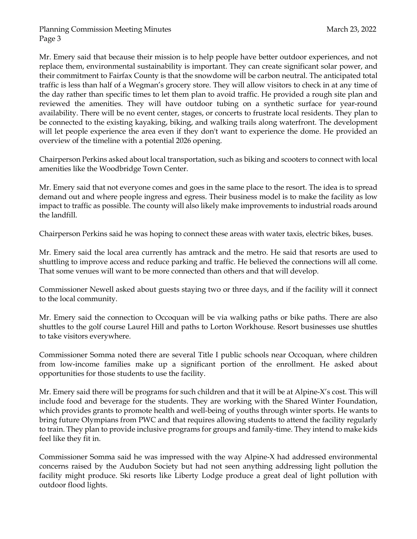Mr. Emery said that because their mission is to help people have better outdoor experiences, and not replace them, environmental sustainability is important. They can create significant solar power, and their commitment to Fairfax County is that the snowdome will be carbon neutral. The anticipated total traffic is less than half of a Wegman's grocery store. They will allow visitors to check in at any time of the day rather than specific times to let them plan to avoid traffic. He provided a rough site plan and reviewed the amenities. They will have outdoor tubing on a synthetic surface for year-round availability. There will be no event center, stages, or concerts to frustrate local residents. They plan to be connected to the existing kayaking, biking, and walking trails along waterfront. The development will let people experience the area even if they don't want to experience the dome. He provided an overview of the timeline with a potential 2026 opening.

Chairperson Perkins asked about local transportation, such as biking and scooters to connect with local amenities like the Woodbridge Town Center.

Mr. Emery said that not everyone comes and goes in the same place to the resort. The idea is to spread demand out and where people ingress and egress. Their business model is to make the facility as low impact to traffic as possible. The county will also likely make improvements to industrial roads around the landfill.

Chairperson Perkins said he was hoping to connect these areas with water taxis, electric bikes, buses.

Mr. Emery said the local area currently has amtrack and the metro. He said that resorts are used to shuttling to improve access and reduce parking and traffic. He believed the connections will all come. That some venues will want to be more connected than others and that will develop.

Commissioner Newell asked about guests staying two or three days, and if the facility will it connect to the local community.

Mr. Emery said the connection to Occoquan will be via walking paths or bike paths. There are also shuttles to the golf course Laurel Hill and paths to Lorton Workhouse. Resort businesses use shuttles to take visitors everywhere.

Commissioner Somma noted there are several Title I public schools near Occoquan, where children from low-income families make up a significant portion of the enrollment. He asked about opportunities for those students to use the facility.

Mr. Emery said there will be programs for such children and that it will be at Alpine-X's cost. This will include food and beverage for the students. They are working with the Shared Winter Foundation, which provides grants to promote health and well-being of youths through winter sports. He wants to bring future Olympians from PWC and that requires allowing students to attend the facility regularly to train. They plan to provide inclusive programs for groups and family-time. They intend to make kids feel like they fit in.

Commissioner Somma said he was impressed with the way Alpine-X had addressed environmental concerns raised by the Audubon Society but had not seen anything addressing light pollution the facility might produce. Ski resorts like Liberty Lodge produce a great deal of light pollution with outdoor flood lights.